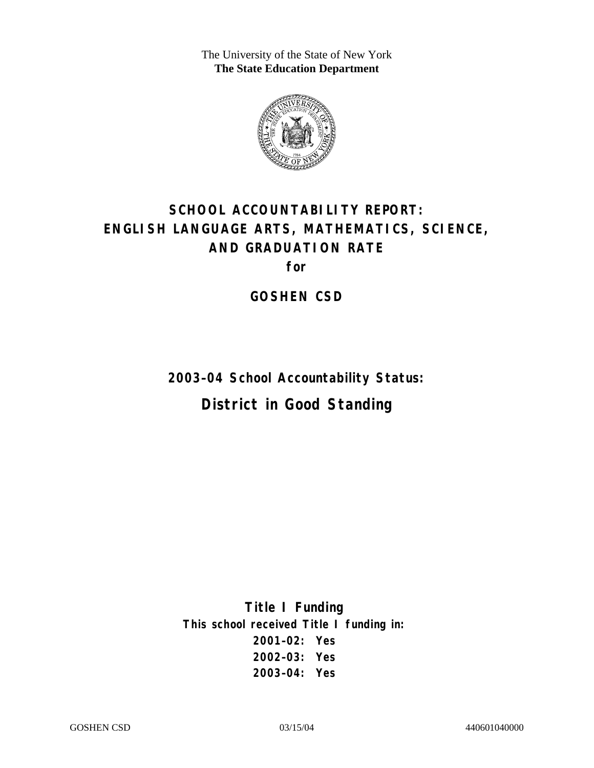The University of the State of New York **The State Education Department** 



# **SCHOOL ACCOUNTABILITY REPORT: ENGLISH LANGUAGE ARTS, MATHEMATICS, SCIENCE, AND GRADUATION RATE**

**for** 

**GOSHEN CSD** 

**2003–04 School Accountability Status: District in Good Standing** 

**Title I Funding This school received Title I funding in: 2001–02: Yes 2002–03: Yes 2003–04: Yes**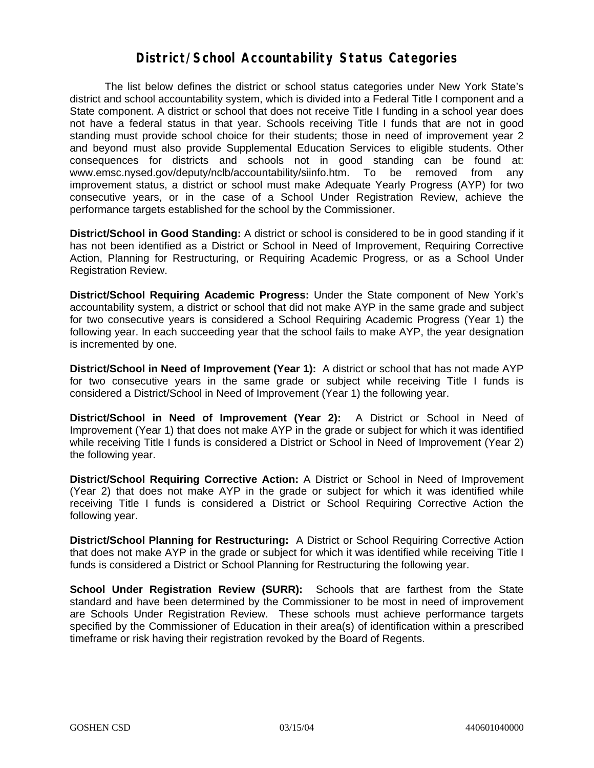#### **District/School Accountability Status Categories**

The list below defines the district or school status categories under New York State's district and school accountability system, which is divided into a Federal Title I component and a State component. A district or school that does not receive Title I funding in a school year does not have a federal status in that year. Schools receiving Title I funds that are not in good standing must provide school choice for their students; those in need of improvement year 2 and beyond must also provide Supplemental Education Services to eligible students. Other consequences for districts and schools not in good standing can be found at: www.emsc.nysed.gov/deputy/nclb/accountability/siinfo.htm. To be removed from any improvement status, a district or school must make Adequate Yearly Progress (AYP) for two consecutive years, or in the case of a School Under Registration Review, achieve the performance targets established for the school by the Commissioner.

**District/School in Good Standing:** A district or school is considered to be in good standing if it has not been identified as a District or School in Need of Improvement, Requiring Corrective Action, Planning for Restructuring, or Requiring Academic Progress, or as a School Under Registration Review.

**District/School Requiring Academic Progress:** Under the State component of New York's accountability system, a district or school that did not make AYP in the same grade and subject for two consecutive years is considered a School Requiring Academic Progress (Year 1) the following year. In each succeeding year that the school fails to make AYP, the year designation is incremented by one.

**District/School in Need of Improvement (Year 1):** A district or school that has not made AYP for two consecutive years in the same grade or subject while receiving Title I funds is considered a District/School in Need of Improvement (Year 1) the following year.

**District/School in Need of Improvement (Year 2):** A District or School in Need of Improvement (Year 1) that does not make AYP in the grade or subject for which it was identified while receiving Title I funds is considered a District or School in Need of Improvement (Year 2) the following year.

**District/School Requiring Corrective Action:** A District or School in Need of Improvement (Year 2) that does not make AYP in the grade or subject for which it was identified while receiving Title I funds is considered a District or School Requiring Corrective Action the following year.

**District/School Planning for Restructuring:** A District or School Requiring Corrective Action that does not make AYP in the grade or subject for which it was identified while receiving Title I funds is considered a District or School Planning for Restructuring the following year.

**School Under Registration Review (SURR):** Schools that are farthest from the State standard and have been determined by the Commissioner to be most in need of improvement are Schools Under Registration Review. These schools must achieve performance targets specified by the Commissioner of Education in their area(s) of identification within a prescribed timeframe or risk having their registration revoked by the Board of Regents.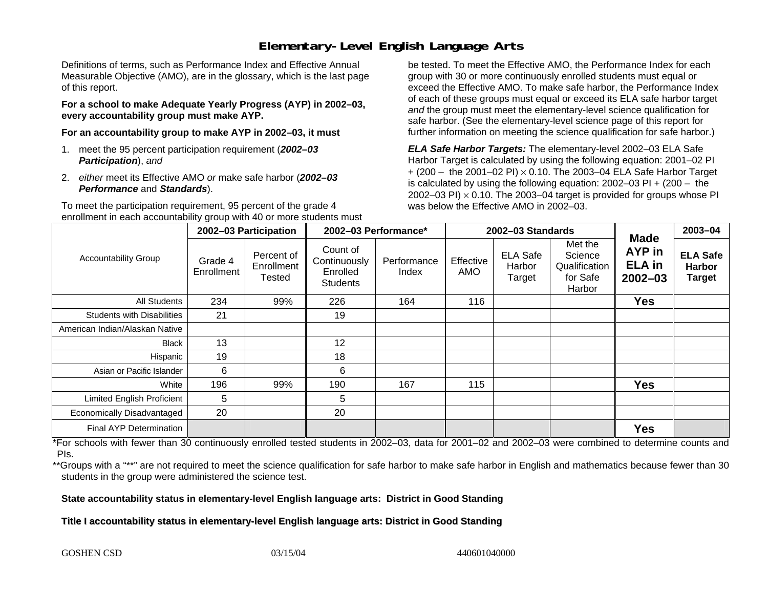## **Elementary-Level English Language Arts**

Definitions of terms, such as Performance Index and Effective Annual Measurable Objective (AMO), are in the glossary, which is the last page of this report.

**For a school to make Adequate Yearly Progress (AYP) in 2002–03, every accountability group must make AYP.** 

**For an accountability group to make AYP in 2002–03, it must** 

- 1. meet the 95 percent participation requirement (*2002–03 Participation*), *and*
- 2. *either* meet its Effective AMO *or* make safe harbor (*2002–03 Performance* and *Standards*).

To meet the participation requirement, 95 percent of the grade 4 enrollment in each accountability group with 40 or more students must

be tested. To meet the Effective AMO, the Performance Index for each group with 30 or more continuously enrolled students must equal or exceed the Effective AMO. To make safe harbor, the Performance Index of each of these groups must equal or exceed its ELA safe harbor target *and* the group must meet the elementary-level science qualification for safe harbor. (See the elementary-level science page of this report for further information on meeting the science qualification for safe harbor.)

*ELA Safe Harbor Targets:* The elementary-level 2002–03 ELA Safe Harbor Target is calculated by using the following equation: 2001–02 PI + (200 – the 2001–02 PI) <sup>×</sup> 0.10. The 2003–04 ELA Safe Harbor Target is calculated by using the following equation: 2002–03 PI + (200 – the 2002–03 PI)  $\times$  0.10. The 2003–04 target is provided for groups whose PI was below the Effective AMO in 2002–03.

|                                   | 2002-03 Participation                                       |                                                         | 2002-03 Performance* |                  | 2002-03 Standards                   |                                                           |                                                              |                                                   | 2003-04 |
|-----------------------------------|-------------------------------------------------------------|---------------------------------------------------------|----------------------|------------------|-------------------------------------|-----------------------------------------------------------|--------------------------------------------------------------|---------------------------------------------------|---------|
| <b>Accountability Group</b>       | Percent of<br>Grade 4<br>Enrollment<br>Enrollment<br>Tested | Count of<br>Continuously<br>Enrolled<br><b>Students</b> | Performance<br>Index | Effective<br>AMO | <b>ELA Safe</b><br>Harbor<br>Target | Met the<br>Science<br>Qualification<br>for Safe<br>Harbor | <b>Made</b><br><b>AYP</b> in<br><b>ELA</b> in<br>$2002 - 03$ | <b>ELA Safe</b><br><b>Harbor</b><br><b>Target</b> |         |
| All Students                      | 234                                                         | 99%                                                     | 226                  | 164              | 116                                 |                                                           |                                                              | <b>Yes</b>                                        |         |
| <b>Students with Disabilities</b> | 21                                                          |                                                         | 19                   |                  |                                     |                                                           |                                                              |                                                   |         |
| American Indian/Alaskan Native    |                                                             |                                                         |                      |                  |                                     |                                                           |                                                              |                                                   |         |
| Black                             | 13                                                          |                                                         | 12                   |                  |                                     |                                                           |                                                              |                                                   |         |
| <b>Hispanic</b>                   | 19                                                          |                                                         | 18                   |                  |                                     |                                                           |                                                              |                                                   |         |
| Asian or Pacific Islander         | 6                                                           |                                                         | 6                    |                  |                                     |                                                           |                                                              |                                                   |         |
| White                             | 196                                                         | 99%                                                     | 190                  | 167              | 115                                 |                                                           |                                                              | <b>Yes</b>                                        |         |
| <b>Limited English Proficient</b> | 5                                                           |                                                         | 5                    |                  |                                     |                                                           |                                                              |                                                   |         |
| <b>Economically Disadvantaged</b> | 20                                                          |                                                         | 20                   |                  |                                     |                                                           |                                                              |                                                   |         |
| <b>Final AYP Determination</b>    |                                                             |                                                         |                      |                  |                                     |                                                           |                                                              | <b>Yes</b>                                        |         |

\*For schools with fewer than 30 continuously enrolled tested students in 2002–03, data for 2001–02 and 2002–03 were combined to determine counts and PIs.

\*\*Groups with a "\*\*" are not required to meet the science qualification for safe harbor to make safe harbor in English and mathematics because fewer than 30 students in the group were administered the science test.

**State accountability status in elementary-level English language arts: District in Good Standing** 

Title I accountability status in elementary-level English language arts: District in Good Standing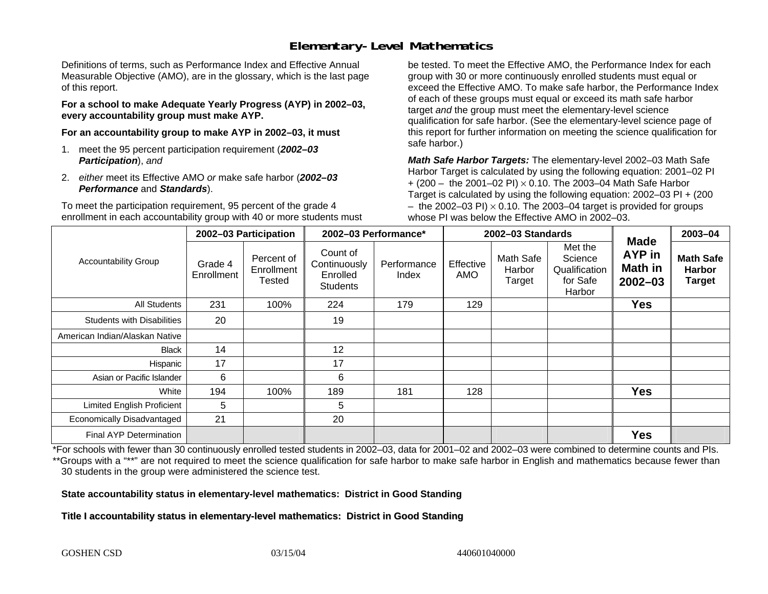## **Elementary-Level Mathematics**

Definitions of terms, such as Performance Index and Effective Annual Measurable Objective (AMO), are in the glossary, which is the last page of this report.

**For a school to make Adequate Yearly Progress (AYP) in 2002–03, every accountability group must make AYP.** 

**For an accountability group to make AYP in 2002–03, it must** 

- 1. meet the 95 percent participation requirement (*2002–03 Participation*), *and*
- 2. *either* meet its Effective AMO *or* make safe harbor (*2002–03 Performance* and *Standards*).

To meet the participation requirement, 95 percent of the grade 4 enrollment in each accountability group with 40 or more students must

be tested. To meet the Effective AMO, the Performance Index for each group with 30 or more continuously enrolled students must equal or exceed the Effective AMO. To make safe harbor, the Performance Index of each of these groups must equal or exceed its math safe harbor target *and* the group must meet the elementary-level science qualification for safe harbor. (See the elementary-level science page of this report for further information on meeting the science qualification for safe harbor.)

*Math Safe Harbor Targets:* The elementary-level 2002–03 Math Safe Harbor Target is calculated by using the following equation: 2001–02 PI + (200 – the 2001–02 PI) × 0.10. The 2003–04 Math Safe Harbor Target is calculated by using the following equation: 2002–03 PI + (200  $-$  the 2002–03 PI)  $\times$  0.10. The 2003–04 target is provided for groups whose PI was below the Effective AMO in 2002–03.

|                                   | 2002-03 Participation |                                    | 2002-03 Performance*                                    |                      | 2002-03 Standards |                               |                                                           | <b>Made</b>                             | 2003-04                                            |
|-----------------------------------|-----------------------|------------------------------------|---------------------------------------------------------|----------------------|-------------------|-------------------------------|-----------------------------------------------------------|-----------------------------------------|----------------------------------------------------|
| <b>Accountability Group</b>       | Grade 4<br>Enrollment | Percent of<br>Enrollment<br>Tested | Count of<br>Continuously<br>Enrolled<br><b>Students</b> | Performance<br>Index | Effective<br>AMO  | Math Safe<br>Harbor<br>Target | Met the<br>Science<br>Qualification<br>for Safe<br>Harbor | AYP in<br><b>Math in</b><br>$2002 - 03$ | <b>Math Safe</b><br><b>Harbor</b><br><b>Target</b> |
| All Students                      | 231                   | 100%                               | 224                                                     | 179                  | 129               |                               |                                                           | <b>Yes</b>                              |                                                    |
| <b>Students with Disabilities</b> | 20                    |                                    | 19                                                      |                      |                   |                               |                                                           |                                         |                                                    |
| American Indian/Alaskan Native    |                       |                                    |                                                         |                      |                   |                               |                                                           |                                         |                                                    |
| <b>Black</b>                      | 14                    |                                    | 12                                                      |                      |                   |                               |                                                           |                                         |                                                    |
| Hispanic                          | 17                    |                                    | 17                                                      |                      |                   |                               |                                                           |                                         |                                                    |
| Asian or Pacific Islander         | 6                     |                                    | 6                                                       |                      |                   |                               |                                                           |                                         |                                                    |
| White                             | 194                   | 100%                               | 189                                                     | 181                  | 128               |                               |                                                           | <b>Yes</b>                              |                                                    |
| <b>Limited English Proficient</b> | 5                     |                                    | 5                                                       |                      |                   |                               |                                                           |                                         |                                                    |
| Economically Disadvantaged        | 21                    |                                    | 20                                                      |                      |                   |                               |                                                           |                                         |                                                    |
| <b>Final AYP Determination</b>    |                       |                                    |                                                         |                      |                   |                               |                                                           | <b>Yes</b>                              |                                                    |

\*For schools with fewer than 30 continuously enrolled tested students in 2002–03, data for 2001–02 and 2002–03 were combined to determine counts and PIs. \*\*Groups with a "\*\*" are not required to meet the science qualification for safe harbor to make safe harbor in English and mathematics because fewer than 30 students in the group were administered the science test.

**State accountability status in elementary-level mathematics: District in Good Standing** 

Title I accountability status in elementary-level mathematics: District in Good Standing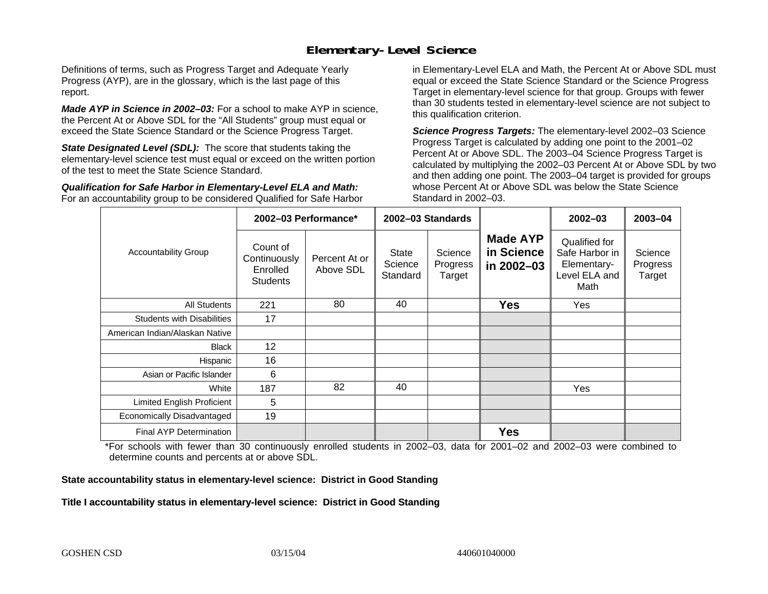#### **Elementary-Level Science**

Definitions of terms, such as Progress Target and Adequate Yearly Progress (AYP), are in the glossary, which is the last page of this report.

*Made AYP in Science in 2002–03:* For a school to make AYP in science, the Percent At or Above SDL for the "All Students" group must equal or exceed the State Science Standard or the Science Progress Target.

**State Designated Level (SDL):** The score that students taking the elementary-level science test must equal or exceed on the written portion of the test to meet the State Science Standard.

*Qualification for Safe Harbor in Elementary-Level ELA and Math:* For an accountability group to be considered Qualified for Safe Harbor in Elementary-Level ELA and Math, the Percent At or Above SDL must equal or exceed the State Science Standard or the Science Progress Target in elementary-level science for that group. Groups with fewer than 30 students tested in elementary-level science are not subject to this qualification criterion.

*Science Progress Targets:* The elementary-level 2002–03 Science Progress Target is calculated by adding one point to the 2001–02 Percent At or Above SDL. The 2003–04 Science Progress Target is calculated by multiplying the 2002–03 Percent At or Above SDL by two and then adding one point. The 2003–04 target is provided for groups whose Percent At or Above SDL was below the State Science Standard in 2002–03.

|                                   |                                                         | 2002-03 Performance*       | 2002-03 Standards                   |                               |                                             | $2002 - 03$                                                             | 2003-04                       |
|-----------------------------------|---------------------------------------------------------|----------------------------|-------------------------------------|-------------------------------|---------------------------------------------|-------------------------------------------------------------------------|-------------------------------|
| <b>Accountability Group</b>       | Count of<br>Continuously<br>Enrolled<br><b>Students</b> | Percent At or<br>Above SDL | <b>State</b><br>Science<br>Standard | Science<br>Progress<br>Target | <b>Made AYP</b><br>in Science<br>in 2002-03 | Qualified for<br>Safe Harbor in<br>Elementary-<br>Level ELA and<br>Math | Science<br>Progress<br>Target |
| All Students                      | 221                                                     | 80                         | 40                                  |                               | <b>Yes</b>                                  | Yes                                                                     |                               |
| <b>Students with Disabilities</b> | 17                                                      |                            |                                     |                               |                                             |                                                                         |                               |
| American Indian/Alaskan Native    |                                                         |                            |                                     |                               |                                             |                                                                         |                               |
| <b>Black</b>                      | 12                                                      |                            |                                     |                               |                                             |                                                                         |                               |
| Hispanic                          | 16                                                      |                            |                                     |                               |                                             |                                                                         |                               |
| Asian or Pacific Islander         | 6                                                       |                            |                                     |                               |                                             |                                                                         |                               |
| White                             | 187                                                     | 82                         | 40                                  |                               |                                             | Yes                                                                     |                               |
| Limited English Proficient        | 5                                                       |                            |                                     |                               |                                             |                                                                         |                               |
| Economically Disadvantaged        | 19                                                      |                            |                                     |                               |                                             |                                                                         |                               |
| Final AYP Determination           |                                                         |                            |                                     |                               | <b>Yes</b>                                  |                                                                         |                               |

\*For schools with fewer than 30 continuously enrolled students in 2002–03, data for 2001–02 and 2002–03 were combined to determine counts and percents at or above SDL.

#### **State accountability status in elementary-level science: District in Good Standing**

#### Title I accountability status in elementary-level science: District in Good Standing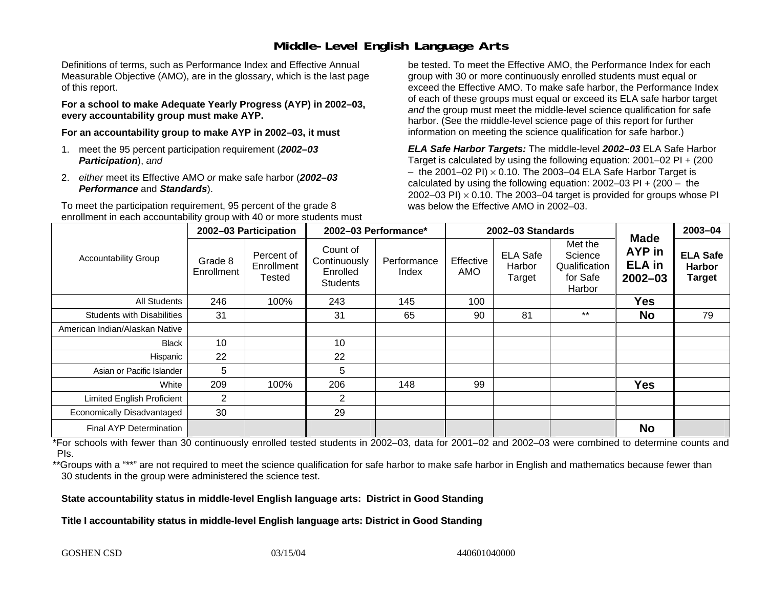### **Middle-Level English Language Arts**

Definitions of terms, such as Performance Index and Effective Annual Measurable Objective (AMO), are in the glossary, which is the last page of this report.

**For a school to make Adequate Yearly Progress (AYP) in 2002–03, every accountability group must make AYP.** 

**For an accountability group to make AYP in 2002–03, it must** 

- 1. meet the 95 percent participation requirement (*2002–03 Participation*), *and*
- 2. *either* meet its Effective AMO *or* make safe harbor (*2002–03 Performance* and *Standards*).

To meet the participation requirement, 95 percent of the grade 8 enrollment in each accountability group with 40 or more students must

be tested. To meet the Effective AMO, the Performance Index for each group with 30 or more continuously enrolled students must equal or exceed the Effective AMO. To make safe harbor, the Performance Index of each of these groups must equal or exceed its ELA safe harbor target *and* the group must meet the middle-level science qualification for safe harbor. (See the middle-level science page of this report for further information on meeting the science qualification for safe harbor.)

*ELA Safe Harbor Targets:* The middle-level *2002–03* ELA Safe Harbor Target is calculated by using the following equation: 2001–02 PI + (200  $-$  the 2001–02 PI)  $\times$  0.10. The 2003–04 ELA Safe Harbor Target is  $\,$ calculated by using the following equation:  $2002-03$  PI +  $(200 -$  the 2002–03 PI)  $\times$  0.10. The 2003–04 target is provided for groups whose PI was below the Effective AMO in 2002–03.

|                                   | 2002-03 Participation |                                    | 2002-03 Performance*                                    |                      |                         | 2002-03 Standards                   |                                                           | 2003-04                                                      |                                                   |
|-----------------------------------|-----------------------|------------------------------------|---------------------------------------------------------|----------------------|-------------------------|-------------------------------------|-----------------------------------------------------------|--------------------------------------------------------------|---------------------------------------------------|
| <b>Accountability Group</b>       | Grade 8<br>Enrollment | Percent of<br>Enrollment<br>Tested | Count of<br>Continuously<br>Enrolled<br><b>Students</b> | Performance<br>Index | Effective<br><b>AMO</b> | <b>ELA Safe</b><br>Harbor<br>Target | Met the<br>Science<br>Qualification<br>for Safe<br>Harbor | <b>Made</b><br><b>AYP</b> in<br><b>ELA</b> in<br>$2002 - 03$ | <b>ELA Safe</b><br><b>Harbor</b><br><b>Target</b> |
| <b>All Students</b>               | 246                   | 100%                               | 243                                                     | 145                  | 100                     |                                     |                                                           | <b>Yes</b>                                                   |                                                   |
| <b>Students with Disabilities</b> | 31                    |                                    | 31                                                      | 65                   | 90                      | 81                                  | $***$                                                     | <b>No</b>                                                    | 79                                                |
| American Indian/Alaskan Native    |                       |                                    |                                                         |                      |                         |                                     |                                                           |                                                              |                                                   |
| <b>Black</b>                      | 10                    |                                    | 10                                                      |                      |                         |                                     |                                                           |                                                              |                                                   |
| Hispanic                          | 22                    |                                    | 22                                                      |                      |                         |                                     |                                                           |                                                              |                                                   |
| Asian or Pacific Islander         | 5                     |                                    | 5                                                       |                      |                         |                                     |                                                           |                                                              |                                                   |
| White                             | 209                   | 100%                               | 206                                                     | 148                  | 99                      |                                     |                                                           | <b>Yes</b>                                                   |                                                   |
| Limited English Proficient        | $\overline{2}$        |                                    | 2                                                       |                      |                         |                                     |                                                           |                                                              |                                                   |
| Economically Disadvantaged        | 30                    |                                    | 29                                                      |                      |                         |                                     |                                                           |                                                              |                                                   |
| <b>Final AYP Determination</b>    |                       |                                    |                                                         |                      |                         |                                     |                                                           | <b>No</b>                                                    |                                                   |

\*For schools with fewer than 30 continuously enrolled tested students in 2002–03, data for 2001–02 and 2002–03 were combined to determine counts and PIs.

\*\*Groups with a "\*\*" are not required to meet the science qualification for safe harbor to make safe harbor in English and mathematics because fewer than 30 students in the group were administered the science test.

**State accountability status in middle-level English language arts: District in Good Standing** 

Title I accountability status in middle-level English language arts: District in Good Standing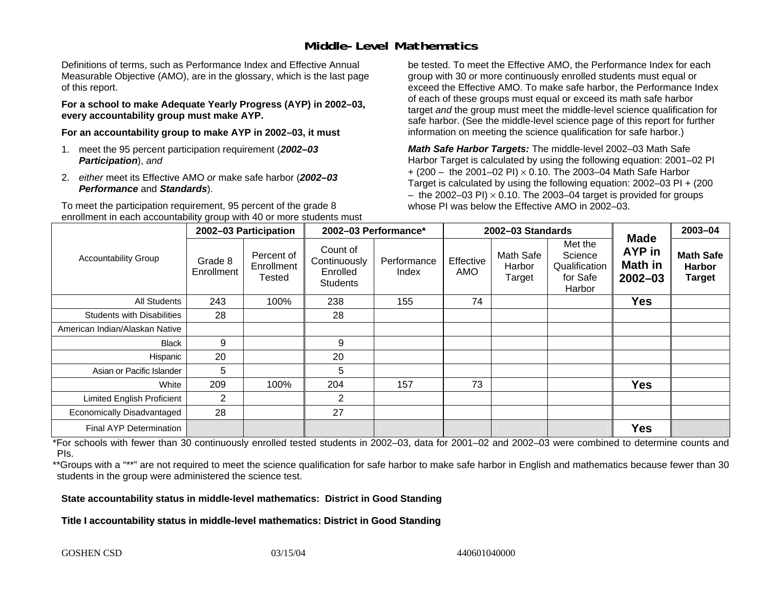### **Middle-Level Mathematics**

Definitions of terms, such as Performance Index and Effective Annual Measurable Objective (AMO), are in the glossary, which is the last page of this report.

**For a school to make Adequate Yearly Progress (AYP) in 2002–03, every accountability group must make AYP.** 

**For an accountability group to make AYP in 2002–03, it must** 

- 1. meet the 95 percent participation requirement (*2002–03 Participation*), *and*
- 2. *either* meet its Effective AMO *or* make safe harbor (*2002–03 Performance* and *Standards*).

To meet the participation requirement, 95 percent of the grade 8 enrollment in each accountability group with 40 or more students must be tested. To meet the Effective AMO, the Performance Index for each group with 30 or more continuously enrolled students must equal or exceed the Effective AMO. To make safe harbor, the Performance Index of each of these groups must equal or exceed its math safe harbor target *and* the group must meet the middle-level science qualification for safe harbor. (See the middle-level science page of this report for further information on meeting the science qualification for safe harbor.)

*Math Safe Harbor Targets:* The middle-level 2002–03 Math Safe Harbor Target is calculated by using the following equation: 2001–02 PI + (200 – the 2001–02 PI) × 0.10. The 2003–04 Math Safe Harbor Target is calculated by using the following equation: 2002–03 PI + (200  $-$  the 2002–03 PI)  $\times$  0.10. The 2003–04 target is provided for groups whose PI was below the Effective AMO in 2002–03

|                                   | 2002-03 Participation |                                    | 2002-03 Performance*                                    |                      | 2002-03 Standards |                               |                                                           |                                                               | 2003-04                                            |
|-----------------------------------|-----------------------|------------------------------------|---------------------------------------------------------|----------------------|-------------------|-------------------------------|-----------------------------------------------------------|---------------------------------------------------------------|----------------------------------------------------|
| <b>Accountability Group</b>       | Grade 8<br>Enrollment | Percent of<br>Enrollment<br>Tested | Count of<br>Continuously<br>Enrolled<br><b>Students</b> | Performance<br>Index | Effective<br>AMO  | Math Safe<br>Harbor<br>Target | Met the<br>Science<br>Qualification<br>for Safe<br>Harbor | <b>Made</b><br><b>AYP</b> in<br><b>Math in</b><br>$2002 - 03$ | <b>Math Safe</b><br><b>Harbor</b><br><b>Target</b> |
| All Students                      | 243                   | 100%                               | 238                                                     | 155                  | 74                |                               |                                                           | <b>Yes</b>                                                    |                                                    |
| <b>Students with Disabilities</b> | 28                    |                                    | 28                                                      |                      |                   |                               |                                                           |                                                               |                                                    |
| American Indian/Alaskan Native    |                       |                                    |                                                         |                      |                   |                               |                                                           |                                                               |                                                    |
| <b>Black</b>                      | 9                     |                                    | 9                                                       |                      |                   |                               |                                                           |                                                               |                                                    |
| Hispanic                          | 20                    |                                    | 20                                                      |                      |                   |                               |                                                           |                                                               |                                                    |
| Asian or Pacific Islander         | 5                     |                                    | 5                                                       |                      |                   |                               |                                                           |                                                               |                                                    |
| White                             | 209                   | 100%                               | 204                                                     | 157                  | 73                |                               |                                                           | <b>Yes</b>                                                    |                                                    |
| <b>Limited English Proficient</b> | 2                     |                                    | 2                                                       |                      |                   |                               |                                                           |                                                               |                                                    |
| Economically Disadvantaged        | 28                    |                                    | 27                                                      |                      |                   |                               |                                                           |                                                               |                                                    |
| <b>Final AYP Determination</b>    |                       |                                    |                                                         |                      |                   |                               |                                                           | <b>Yes</b>                                                    |                                                    |

\*For schools with fewer than 30 continuously enrolled tested students in 2002–03, data for 2001–02 and 2002–03 were combined to determine counts and PIs.

\*\*Groups with a "\*\*" are not required to meet the science qualification for safe harbor to make safe harbor in English and mathematics because fewer than 30 students in the group were administered the science test.

**State accountability status in middle-level mathematics: District in Good Standing** 

Title I accountability status in middle-level mathematics: District in Good Standing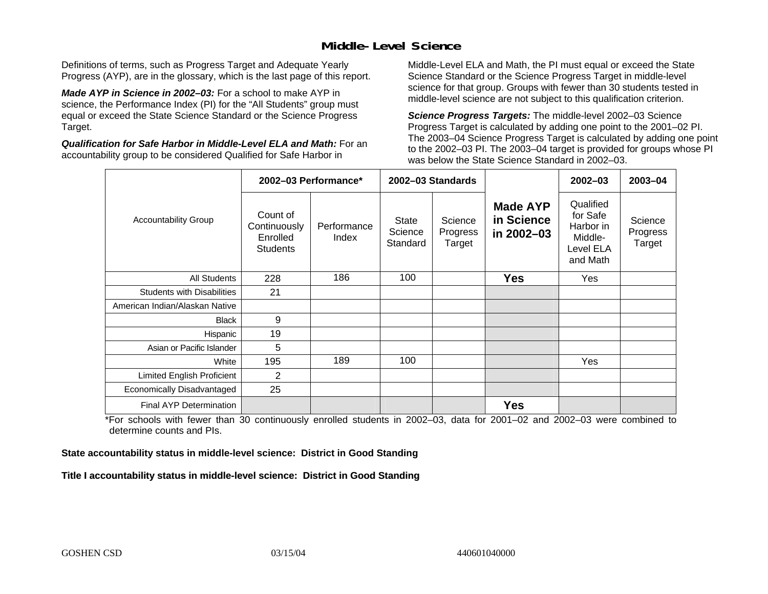### **Middle-Level Science**

Definitions of terms, such as Progress Target and Adequate Yearly Progress (AYP), are in the glossary, which is the last page of this report.

*Made AYP in Science in 2002–03:* For a school to make AYP in science, the Performance Index (PI) for the "All Students" group must equal or exceed the State Science Standard or the Science Progress Target.

*Qualification for Safe Harbor in Middle-Level ELA and Math:* For an accountability group to be considered Qualified for Safe Harbor in

Middle-Level ELA and Math, the PI must equal or exceed the State Science Standard or the Science Progress Target in middle-level science for that group. Groups with fewer than 30 students tested in middle-level science are not subject to this qualification criterion.

*Science Progress Targets:* The middle-level 2002–03 Science Progress Target is calculated by adding one point to the 2001–02 PI. The 2003–04 Science Progress Target is calculated by adding one point to the 2002–03 PI. The 2003–04 target is provided for groups whose PI was below the State Science Standard in 2002–03.

|                                   |                                                         | 2002-03 Performance* |                              | 2002-03 Standards             |                                             | $2002 - 03$                                                            | $2003 - 04$                   |
|-----------------------------------|---------------------------------------------------------|----------------------|------------------------------|-------------------------------|---------------------------------------------|------------------------------------------------------------------------|-------------------------------|
| <b>Accountability Group</b>       | Count of<br>Continuously<br>Enrolled<br><b>Students</b> | Performance<br>Index | State<br>Science<br>Standard | Science<br>Progress<br>Target | <b>Made AYP</b><br>in Science<br>in 2002-03 | Qualified<br>for Safe<br>Harbor in<br>Middle-<br>Level ELA<br>and Math | Science<br>Progress<br>Target |
| All Students                      | 228                                                     | 186                  | 100                          |                               | <b>Yes</b>                                  | Yes                                                                    |                               |
| <b>Students with Disabilities</b> | 21                                                      |                      |                              |                               |                                             |                                                                        |                               |
| American Indian/Alaskan Native    |                                                         |                      |                              |                               |                                             |                                                                        |                               |
| <b>Black</b>                      | 9                                                       |                      |                              |                               |                                             |                                                                        |                               |
| Hispanic                          | 19                                                      |                      |                              |                               |                                             |                                                                        |                               |
| Asian or Pacific Islander         | 5                                                       |                      |                              |                               |                                             |                                                                        |                               |
| White                             | 195                                                     | 189                  | 100                          |                               |                                             | Yes                                                                    |                               |
| Limited English Proficient        | $\overline{2}$                                          |                      |                              |                               |                                             |                                                                        |                               |
| Economically Disadvantaged        | 25                                                      |                      |                              |                               |                                             |                                                                        |                               |
| <b>Final AYP Determination</b>    |                                                         |                      |                              |                               | <b>Yes</b>                                  |                                                                        |                               |

\*For schools with fewer than 30 continuously enrolled students in 2002–03, data for 2001–02 and 2002–03 were combined to determine counts and PIs.

**State accountability status in middle-level science: District in Good Standing** 

Title I accountability status in middle-level science: District in Good Standing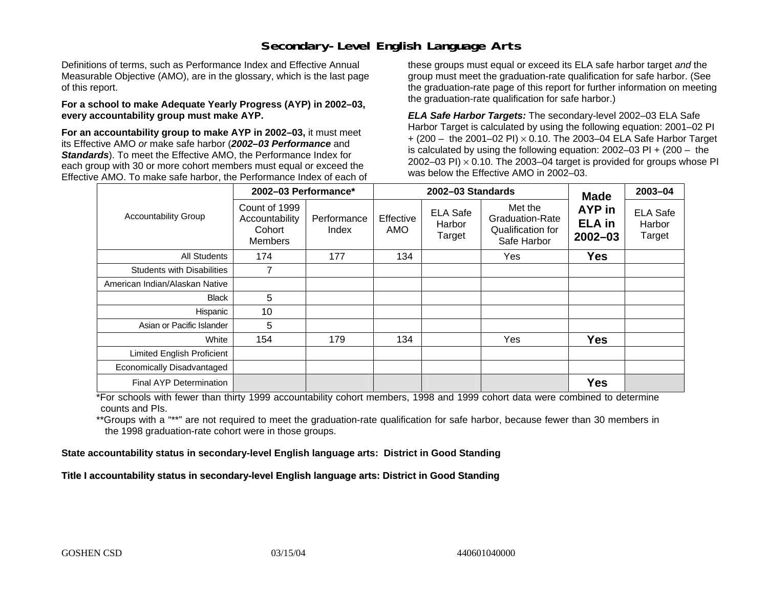### **Secondary-Level English Language Arts**

Definitions of terms, such as Performance Index and Effective Annual Measurable Objective (AMO), are in the glossary, which is the last page of this report.

#### **For a school to make Adequate Yearly Progress (AYP) in 2002–03, every accountability group must make AYP.**

**For an accountability group to make AYP in 2002–03,** it must meet its Effective AMO *or* make safe harbor (*2002–03 Performance* and *Standards*). To meet the Effective AMO, the Performance Index for each group with 30 or more cohort members must equal or exceed the Effective AMO. To make safe harbor, the Performance Index of each of these groups must equal or exceed its ELA safe harbor target *and* the group must meet the graduation-rate qualification for safe harbor. (See the graduation-rate page of this report for further information on meeting the graduation-rate qualification for safe harbor.)

*ELA Safe Harbor Targets:* The secondary-level 2002–03 ELA Safe Harbor Target is calculated by using the following equation: 2001–02 PI + (200 – the 2001–02 PI) <sup>×</sup> 0.10. The 2003–04 ELA Safe Harbor Target is calculated by using the following equation: 2002–03 PI + (200 – the 2002–03 PI)  $\times$  0.10. The 2003–04 target is provided for groups whose PI was below the Effective AMO in 2002–03.

|                                   | 2002-03 Performance*                                        |                      |                  | 2002-03 Standards                   | <b>Made</b>                                                           | 2003-04                                |                                     |
|-----------------------------------|-------------------------------------------------------------|----------------------|------------------|-------------------------------------|-----------------------------------------------------------------------|----------------------------------------|-------------------------------------|
| <b>Accountability Group</b>       | Count of 1999<br>Accountability<br>Cohort<br><b>Members</b> | Performance<br>Index | Effective<br>AMO | <b>ELA Safe</b><br>Harbor<br>Target | Met the<br><b>Graduation-Rate</b><br>Qualification for<br>Safe Harbor | AYP in<br><b>ELA in</b><br>$2002 - 03$ | <b>ELA Safe</b><br>Harbor<br>Target |
| <b>All Students</b>               | 174                                                         | 177                  | 134              |                                     | Yes                                                                   | <b>Yes</b>                             |                                     |
| <b>Students with Disabilities</b> | 7                                                           |                      |                  |                                     |                                                                       |                                        |                                     |
| American Indian/Alaskan Native    |                                                             |                      |                  |                                     |                                                                       |                                        |                                     |
| <b>Black</b>                      | 5                                                           |                      |                  |                                     |                                                                       |                                        |                                     |
| Hispanic                          | 10                                                          |                      |                  |                                     |                                                                       |                                        |                                     |
| Asian or Pacific Islander         | 5                                                           |                      |                  |                                     |                                                                       |                                        |                                     |
| White                             | 154                                                         | 179                  | 134              |                                     | Yes                                                                   | <b>Yes</b>                             |                                     |
| Limited English Proficient        |                                                             |                      |                  |                                     |                                                                       |                                        |                                     |
| Economically Disadvantaged        |                                                             |                      |                  |                                     |                                                                       |                                        |                                     |
| <b>Final AYP Determination</b>    |                                                             |                      |                  |                                     |                                                                       | <b>Yes</b>                             |                                     |

\*For schools with fewer than thirty 1999 accountability cohort members, 1998 and 1999 cohort data were combined to determine counts and PIs.

\*\*Groups with a "\*\*" are not required to meet the graduation-rate qualification for safe harbor, because fewer than 30 members in the 1998 graduation-rate cohort were in those groups.

**State accountability status in secondary-level English language arts: District in Good Standing** 

Title I accountability status in secondary-level English language arts: District in Good Standing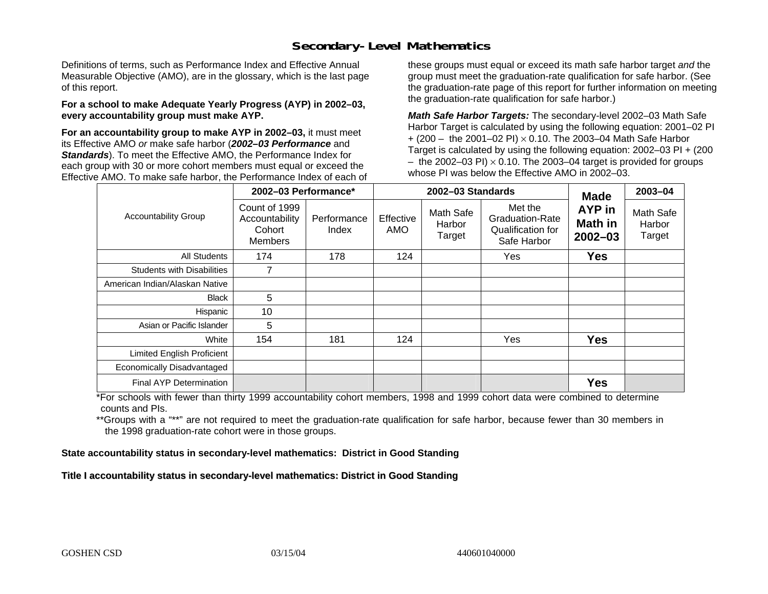### **Secondary-Level Mathematics**

Definitions of terms, such as Performance Index and Effective Annual Measurable Objective (AMO), are in the glossary, which is the last page of this report.

#### **For a school to make Adequate Yearly Progress (AYP) in 2002–03, every accountability group must make AYP.**

**For an accountability group to make AYP in 2002–03,** it must meet its Effective AMO *or* make safe harbor (*2002–03 Performance* and *Standards*). To meet the Effective AMO, the Performance Index for each group with 30 or more cohort members must equal or exceed the Effective AMO. To make safe harbor, the Performance Index of each of these groups must equal or exceed its math safe harbor target *and* the group must meet the graduation-rate qualification for safe harbor. (See the graduation-rate page of this report for further information on meeting the graduation-rate qualification for safe harbor.)

*Math Safe Harbor Targets:* The secondary-level 2002–03 Math Safe Harbor Target is calculated by using the following equation: 2001–02 PI + (200 – the 2001–02 PI) × 0.10. The 2003–04 Math Safe Harbor Target is calculated by using the following equation: 2002–03 PI + (200  $-$  the 2002–03 PI)  $\times$  0.10. The 2003–04 target is provided for groups whose PI was below the Effective AMO in 2002–03.

|                                   | 2002-03 Performance*                                        |                      |                         | 2002-03 Standards             | <b>Made</b>                                                           | 2003-04                                 |                               |
|-----------------------------------|-------------------------------------------------------------|----------------------|-------------------------|-------------------------------|-----------------------------------------------------------------------|-----------------------------------------|-------------------------------|
| <b>Accountability Group</b>       | Count of 1999<br>Accountability<br>Cohort<br><b>Members</b> | Performance<br>Index | Effective<br><b>AMO</b> | Math Safe<br>Harbor<br>Target | Met the<br><b>Graduation-Rate</b><br>Qualification for<br>Safe Harbor | <b>AYP</b> in<br>Math in<br>$2002 - 03$ | Math Safe<br>Harbor<br>Target |
| <b>All Students</b>               | 174                                                         | 178                  | 124                     |                               | Yes                                                                   | <b>Yes</b>                              |                               |
| <b>Students with Disabilities</b> | 7                                                           |                      |                         |                               |                                                                       |                                         |                               |
| American Indian/Alaskan Native    |                                                             |                      |                         |                               |                                                                       |                                         |                               |
| <b>Black</b>                      | 5                                                           |                      |                         |                               |                                                                       |                                         |                               |
| Hispanic                          | 10                                                          |                      |                         |                               |                                                                       |                                         |                               |
| Asian or Pacific Islander         | 5                                                           |                      |                         |                               |                                                                       |                                         |                               |
| White                             | 154                                                         | 181                  | 124                     |                               | Yes                                                                   | <b>Yes</b>                              |                               |
| Limited English Proficient        |                                                             |                      |                         |                               |                                                                       |                                         |                               |
| Economically Disadvantaged        |                                                             |                      |                         |                               |                                                                       |                                         |                               |
| <b>Final AYP Determination</b>    |                                                             |                      |                         |                               |                                                                       | <b>Yes</b>                              |                               |

\*For schools with fewer than thirty 1999 accountability cohort members, 1998 and 1999 cohort data were combined to determine counts and PIs.

\*\*Groups with a "\*\*" are not required to meet the graduation-rate qualification for safe harbor, because fewer than 30 members in the 1998 graduation-rate cohort were in those groups.

**State accountability status in secondary-level mathematics: District in Good Standing** 

Title I accountability status in secondary-level mathematics: District in Good Standing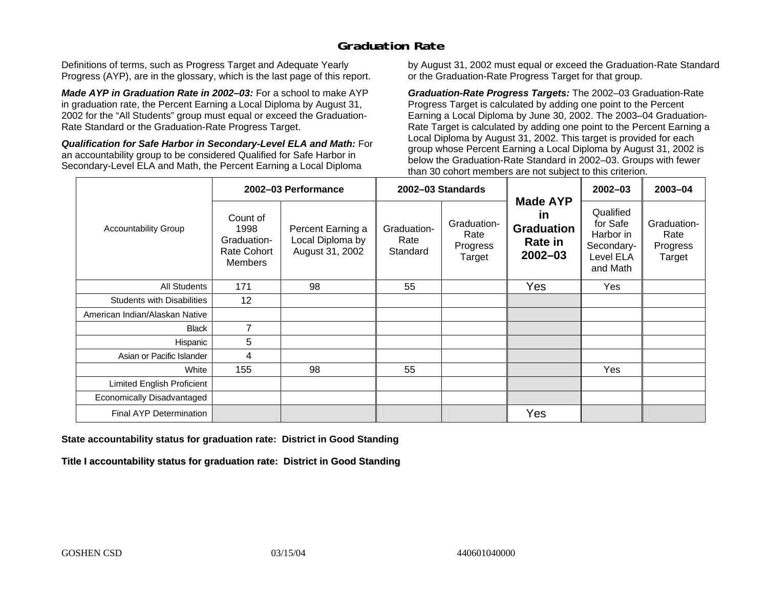### **Graduation Rate**

Definitions of terms, such as Progress Target and Adequate Yearly Progress (AYP), are in the glossary, which is the last page of this report.

*Made AYP in Graduation Rate in 2002–03:* For a school to make AYP in graduation rate, the Percent Earning a Local Diploma by August 31, 2002 for the "All Students" group must equal or exceed the Graduation-Rate Standard or the Graduation-Rate Progress Target.

*Qualification for Safe Harbor in Secondary-Level ELA and Math:* For an accountability group to be considered Qualified for Safe Harbor in Secondary-Level ELA and Math, the Percent Earning a Local Diploma

by August 31, 2002 must equal or exceed the Graduation-Rate Standard or the Graduation-Rate Progress Target for that group.

*Graduation-Rate Progress Targets:* The 2002–03 Graduation-Rate Progress Target is calculated by adding one point to the Percent Earning a Local Diploma by June 30, 2002. The 2003–04 Graduation-Rate Target is calculated by adding one point to the Percent Earning a Local Diploma by August 31, 2002. This target is provided for each group whose Percent Earning a Local Diploma by August 31, 2002 is below the Graduation-Rate Standard in 2002–03. Groups with fewer than 30 cohort members are not subject to this criterion.

|                                   |                                                                         | 2002-03 Performance                                      |                                 | 2002-03 Standards                         |                                                                             | $2002 - 03$                                                               | 2003-04                                   |
|-----------------------------------|-------------------------------------------------------------------------|----------------------------------------------------------|---------------------------------|-------------------------------------------|-----------------------------------------------------------------------------|---------------------------------------------------------------------------|-------------------------------------------|
| <b>Accountability Group</b>       | Count of<br>1998<br>Graduation-<br><b>Rate Cohort</b><br><b>Members</b> | Percent Earning a<br>Local Diploma by<br>August 31, 2002 | Graduation-<br>Rate<br>Standard | Graduation-<br>Rate<br>Progress<br>Target | <b>Made AYP</b><br>in<br><b>Graduation</b><br><b>Rate in</b><br>$2002 - 03$ | Qualified<br>for Safe<br>Harbor in<br>Secondary-<br>Level ELA<br>and Math | Graduation-<br>Rate<br>Progress<br>Target |
| All Students                      | 171                                                                     | 98                                                       | 55                              |                                           | Yes                                                                         | Yes                                                                       |                                           |
| <b>Students with Disabilities</b> | 12                                                                      |                                                          |                                 |                                           |                                                                             |                                                                           |                                           |
| American Indian/Alaskan Native    |                                                                         |                                                          |                                 |                                           |                                                                             |                                                                           |                                           |
| <b>Black</b>                      | $\overline{7}$                                                          |                                                          |                                 |                                           |                                                                             |                                                                           |                                           |
| Hispanic                          | 5                                                                       |                                                          |                                 |                                           |                                                                             |                                                                           |                                           |
| Asian or Pacific Islander         | 4                                                                       |                                                          |                                 |                                           |                                                                             |                                                                           |                                           |
| White                             | 155                                                                     | 98                                                       | 55                              |                                           |                                                                             | Yes                                                                       |                                           |
| Limited English Proficient        |                                                                         |                                                          |                                 |                                           |                                                                             |                                                                           |                                           |
| Economically Disadvantaged        |                                                                         |                                                          |                                 |                                           |                                                                             |                                                                           |                                           |
| <b>Final AYP Determination</b>    |                                                                         |                                                          |                                 |                                           | Yes                                                                         |                                                                           |                                           |

#### **State accountability status for graduation rate: District in Good Standing**

Title I accountability status for graduation rate: District in Good Standing